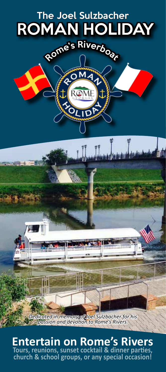

**Entertain on Rome's Rivers Tours, reunions, sunset cocktail & dinner parties, church & school groups, or any special occasion!**